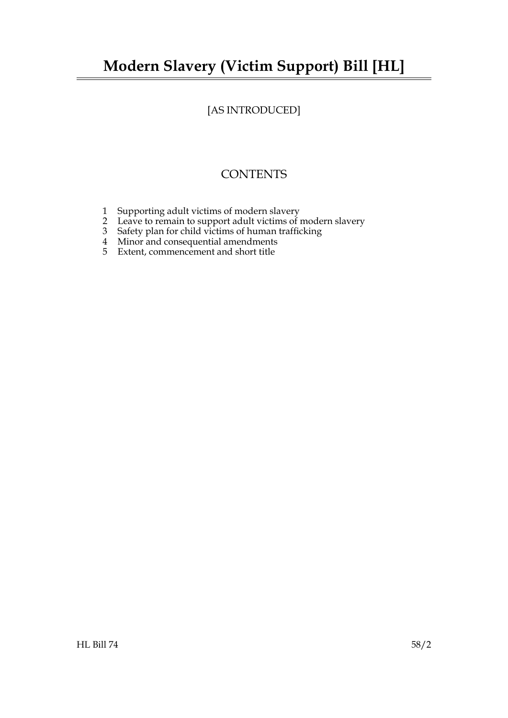# **Modern Slavery (Victim Support) Bill [HL]**

# [AS INTRODUCED]

# **CONTENTS**

- 1 Supporting adult victims of modern slavery
- 2 Leave to remain to support adult victims of modern slavery
- 3 Safety plan for child victims of human trafficking
- 4 Minor and consequential amendments
- 5 Extent, commencement and short title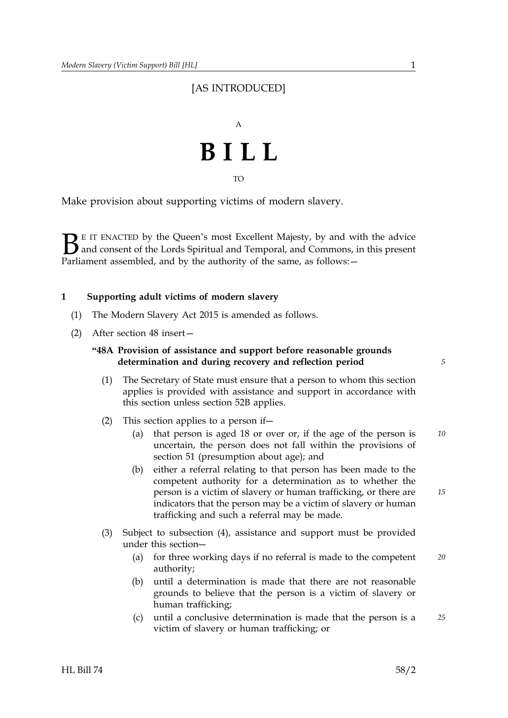# [AS INTRODUCED]



TO

Make provision about supporting victims of modern slavery.

 $\sum$  E IT ENACTED by the Queen's most Excellent Majesty, by and with the advice<br>and consent of the Lords Spiritual and Temporal, and Commons, in this present<br>Parliament assembled, and by the authority of the same, as foll and consent of the Lords Spiritual and Temporal, and Commons, in this present Parliament assembled, and by the authority of the same, as follows: -

# **1 Supporting adult victims of modern slavery**

- (1) The Modern Slavery Act 2015 is amended as follows.
- (2) After section 48 insert—

# **"48A Provision of assistance and support before reasonable grounds determination and during recovery and reflection period**

- (1) The Secretary of State must ensure that a person to whom this section applies is provided with assistance and support in accordance with this section unless section 52B applies.
- (2) This section applies to a person if―
	- (a) that person is aged 18 or over or, if the age of the person is *10* uncertain, the person does not fall within the provisions of section 51 (presumption about age); and
	- (b) either a referral relating to that person has been made to the competent authority for a determination as to whether the person is a victim of slavery or human trafficking, or there are indicators that the person may be a victim of slavery or human trafficking and such a referral may be made.
- (3) Subject to subsection (4), assistance and support must be provided under this section―
	- (a) for three working days if no referral is made to the competent *20* authority;
	- (b) until a determination is made that there are not reasonable grounds to believe that the person is a victim of slavery or human trafficking;
	- (c) until a conclusive determination is made that the person is a *25* victim of slavery or human trafficking; or

*5*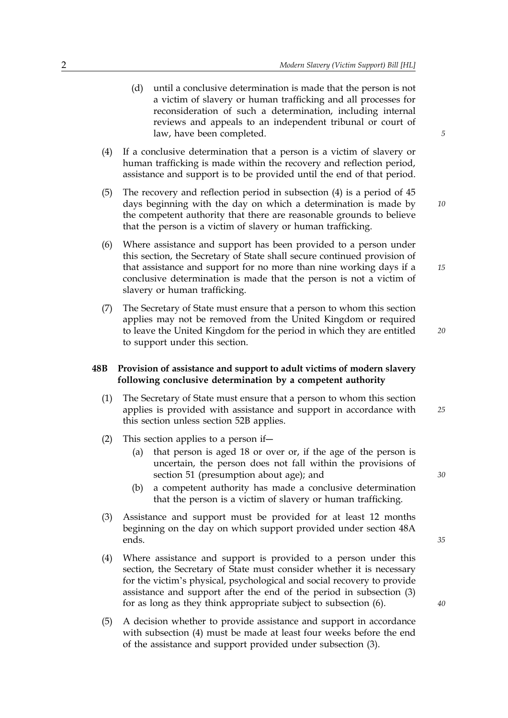- (d) until a conclusive determination is made that the person is not a victim of slavery or human trafficking and all processes for reconsideration of such a determination, including internal reviews and appeals to an independent tribunal or court of law, have been completed.
- (4) If a conclusive determination that a person is a victim of slavery or human trafficking is made within the recovery and reflection period, assistance and support is to be provided until the end of that period.
- (5) The recovery and reflection period in subsection (4) is a period of 45 days beginning with the day on which a determination is made by the competent authority that there are reasonable grounds to believe that the person is a victim of slavery or human trafficking.
- (6) Where assistance and support has been provided to a person under this section, the Secretary of State shall secure continued provision of that assistance and support for no more than nine working days if a conclusive determination is made that the person is not a victim of slavery or human trafficking.
- (7) The Secretary of State must ensure that a person to whom this section applies may not be removed from the United Kingdom or required to leave the United Kingdom for the period in which they are entitled to support under this section.

# **48B Provision of assistance and support to adult victims of modern slavery following conclusive determination by a competent authority**

- (1) *25* The Secretary of State must ensure that a person to whom this section applies is provided with assistance and support in accordance with this section unless section 52B applies.
- (2) This section applies to a person if―
	- (a) that person is aged 18 or over or, if the age of the person is uncertain, the person does not fall within the provisions of section 51 (presumption about age); and
	- (b) a competent authority has made a conclusive determination that the person is a victim of slavery or human trafficking.
- (3) Assistance and support must be provided for at least 12 months beginning on the day on which support provided under section 48A ends.
- (4) Where assistance and support is provided to a person under this section, the Secretary of State must consider whether it is necessary for the victim's physical, psychological and social recovery to provide assistance and support after the end of the period in subsection (3) for as long as they think appropriate subject to subsection (6).
- (5) A decision whether to provide assistance and support in accordance with subsection (4) must be made at least four weeks before the end of the assistance and support provided under subsection (3).

*5*

*15*

*10*

*20*

*30*

*35*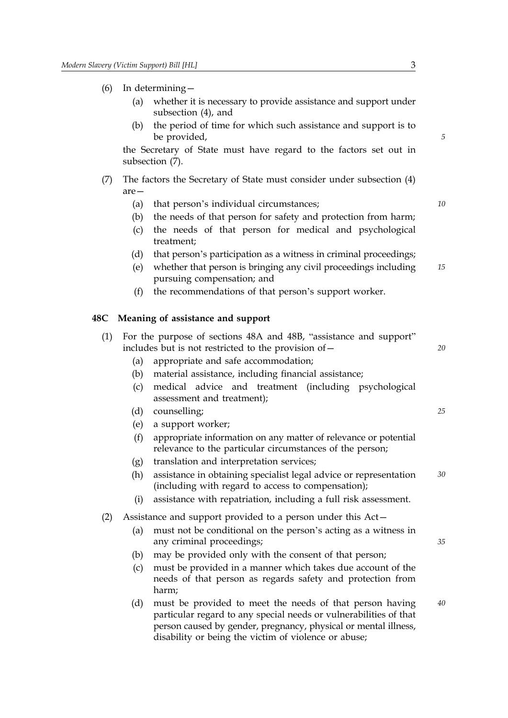- (6) In determining—
	- (a) whether it is necessary to provide assistance and support under subsection (4), and
	- (b) the period of time for which such assistance and support is to be provided,

the Secretary of State must have regard to the factors set out in subsection (7).

- (7) The factors the Secretary of State must consider under subsection (4) are—
	- (a) that person's individual circumstances; *10*
	- (b) the needs of that person for safety and protection from harm;
	- (c) the needs of that person for medical and psychological treatment;
	- (d) that person's participation as a witness in criminal proceedings;
	- (e) whether that person is bringing any civil proceedings including *15* pursuing compensation; and
	- (f) the recommendations of that person's support worker.

#### **48C Meaning of assistance and support**

|                                                        | (1) For the purpose of sections 48A and 48B, "assistance and support" |    |
|--------------------------------------------------------|-----------------------------------------------------------------------|----|
| includes but is not restricted to the provision of $-$ |                                                                       | 20 |
|                                                        | (a) appropriate and safe accommodation;                               |    |

- (b) material assistance, including financial assistance;
- (c) medical advice and treatment (including psychological assessment and treatment);
- (d) counselling; *25*
- (e) a support worker;
- (f) appropriate information on any matter of relevance or potential relevance to the particular circumstances of the person;
- (g) translation and interpretation services;
- (h) assistance in obtaining specialist legal advice or representation *30* (including with regard to access to compensation);
- (i) assistance with repatriation, including a full risk assessment.
- (2) Assistance and support provided to a person under this Act—
	- (a) must not be conditional on the person's acting as a witness in any criminal proceedings;
	- (b) may be provided only with the consent of that person;
	- (c) must be provided in a manner which takes due account of the needs of that person as regards safety and protection from harm;
	- (d) must be provided to meet the needs of that person having *40* particular regard to any special needs or vulnerabilities of that person caused by gender, pregnancy, physical or mental illness, disability or being the victim of violence or abuse;

*5*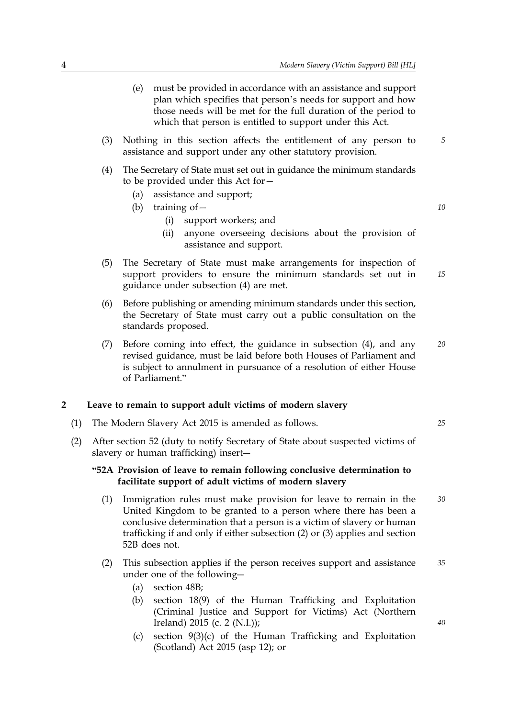- (e) must be provided in accordance with an assistance and support plan which specifies that person's needs for support and how those needs will be met for the full duration of the period to which that person is entitled to support under this Act. (3) Nothing in this section affects the entitlement of any person to *5*
- (4) The Secretary of State must set out in guidance the minimum standards to be provided under this Act for—

assistance and support under any other statutory provision.

- (a) assistance and support;
- (b) training of— *10*
	- (i) support workers; and
	- (ii) anyone overseeing decisions about the provision of assistance and support.
- (5) The Secretary of State must make arrangements for inspection of *15* support providers to ensure the minimum standards set out in guidance under subsection (4) are met.
- (6) Before publishing or amending minimum standards under this section, the Secretary of State must carry out a public consultation on the standards proposed.
- (7) Before coming into effect, the guidance in subsection (4), and any *20* revised guidance, must be laid before both Houses of Parliament and is subject to annulment in pursuance of a resolution of either House of Parliament."

#### **2 Leave to remain to support adult victims of modern slavery**

- (1) The Modern Slavery Act 2015 is amended as follows. *25*
- (2) After section 52 (duty to notify Secretary of State about suspected victims of slavery or human trafficking) insert―

# **"52A Provision of leave to remain following conclusive determination to facilitate support of adult victims of modern slavery**

- (1) Immigration rules must make provision for leave to remain in the *30* United Kingdom to be granted to a person where there has been a conclusive determination that a person is a victim of slavery or human trafficking if and only if either subsection (2) or (3) applies and section 52B does not.
- (2) This subsection applies if the person receives support and assistance *35* under one of the following―
	- (a) section 48B;
	- (b) section 18(9) of the Human Trafficking and Exploitation (Criminal Justice and Support for Victims) Act (Northern Ireland) 2015 (c. 2 (N.I.));
	- (c) section 9(3)(c) of the Human Trafficking and Exploitation (Scotland) Act 2015 (asp 12); or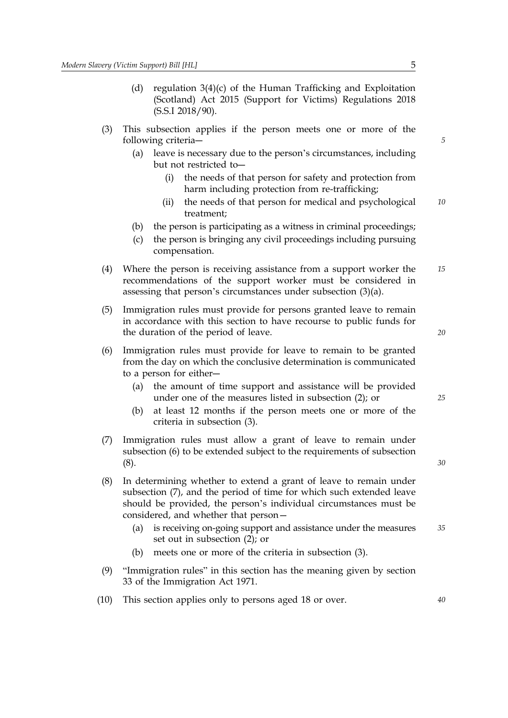- (d) regulation 3(4)(c) of the Human Trafficking and Exploitation (Scotland) Act 2015 (Support for Victims) Regulations 2018 (S.S.I 2018/90).
- (3) This subsection applies if the person meets one or more of the following criteria―
	- (a) leave is necessary due to the person's circumstances, including but not restricted to―
		- (i) the needs of that person for safety and protection from harm including protection from re-trafficking;
		- (ii) the needs of that person for medical and psychological *10* treatment;
	- (b) the person is participating as a witness in criminal proceedings;
	- (c) the person is bringing any civil proceedings including pursuing compensation.
- (4) Where the person is receiving assistance from a support worker the *15* recommendations of the support worker must be considered in assessing that person's circumstances under subsection (3)(a).
- (5) Immigration rules must provide for persons granted leave to remain in accordance with this section to have recourse to public funds for the duration of the period of leave.
- (6) Immigration rules must provide for leave to remain to be granted from the day on which the conclusive determination is communicated to a person for either―
	- (a) the amount of time support and assistance will be provided under one of the measures listed in subsection (2); or
	- (b) at least 12 months if the person meets one or more of the criteria in subsection (3).
- (7) Immigration rules must allow a grant of leave to remain under subsection (6) to be extended subject to the requirements of subsection (8).
- (8) In determining whether to extend a grant of leave to remain under subsection (7), and the period of time for which such extended leave should be provided, the person's individual circumstances must be considered, and whether that person—
	- (a) is receiving on-going support and assistance under the measures *35* set out in subsection (2); or
	- (b) meets one or more of the criteria in subsection (3).
- (9) "Immigration rules" in this section has the meaning given by section 33 of the Immigration Act 1971.
- (10) This section applies only to persons aged 18 or over. *40*

*5*

*25*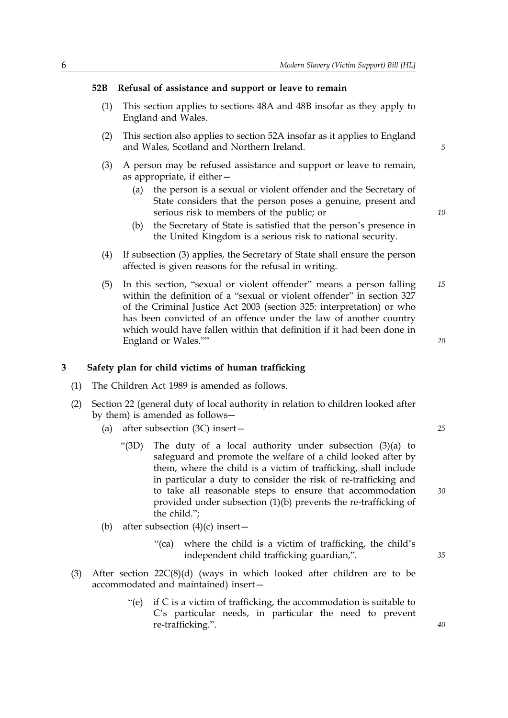### **52B Refusal of assistance and support or leave to remain**

- (1) This section applies to sections 48A and 48B insofar as they apply to England and Wales.
- (2) This section also applies to section 52A insofar as it applies to England and Wales, Scotland and Northern Ireland.
- (3) A person may be refused assistance and support or leave to remain, as appropriate, if either—
	- (a) the person is a sexual or violent offender and the Secretary of State considers that the person poses a genuine, present and serious risk to members of the public; or
	- (b) the Secretary of State is satisfied that the person's presence in the United Kingdom is a serious risk to national security.
- (4) If subsection (3) applies, the Secretary of State shall ensure the person affected is given reasons for the refusal in writing.
- (5) In this section, "sexual or violent offender" means a person falling *15* within the definition of a "sexual or violent offender" in section 327 of the Criminal Justice Act 2003 (section 325: interpretation) or who has been convicted of an offence under the law of another country which would have fallen within that definition if it had been done in England or Wales.""

# **3 Safety plan for child victims of human trafficking**

- (1) The Children Act 1989 is amended as follows.
- (2) Section 22 (general duty of local authority in relation to children looked after by them) is amended as follows―
	- (a) after subsection (3C) insert— *25*
		- "(3D) The duty of a local authority under subsection (3)(a) to safeguard and promote the welfare of a child looked after by them, where the child is a victim of trafficking, shall include in particular a duty to consider the risk of re-trafficking and to take all reasonable steps to ensure that accommodation provided under subsection (1)(b) prevents the re-trafficking of the child.";
	- (b) after subsection  $(4)(c)$  insert—
		- "(ca) where the child is a victim of trafficking, the child's independent child trafficking guardian,".
- (3) After section 22C(8)(d) (ways in which looked after children are to be accommodated and maintained) insert—
	- "(e) if C is a victim of trafficking, the accommodation is suitable to C's particular needs, in particular the need to prevent re-trafficking.".

*5*

*10*

*20*

*35*

*40*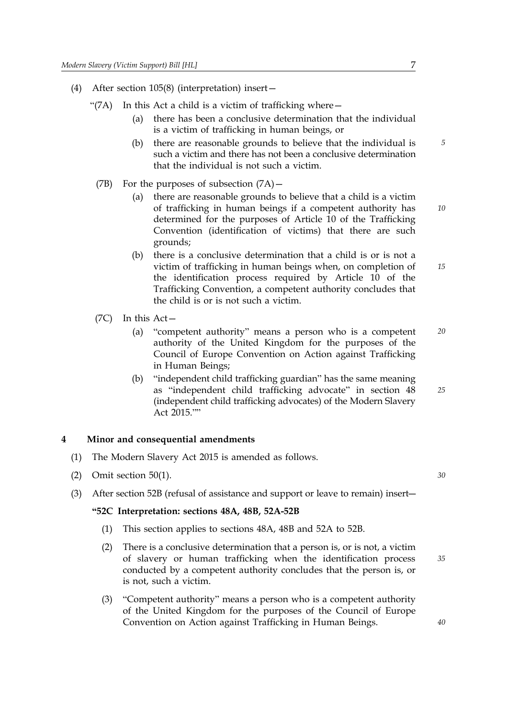- (4) After section 105(8) (interpretation) insert—
	- "(7A) In this Act a child is a victim of trafficking where  $-$ 
		- (a) there has been a conclusive determination that the individual is a victim of trafficking in human beings, or
		- (b) there are reasonable grounds to believe that the individual is *5* such a victim and there has not been a conclusive determination that the individual is not such a victim.
	- (7B) For the purposes of subsection (7A)—
		- (a) there are reasonable grounds to believe that a child is a victim of trafficking in human beings if a competent authority has determined for the purposes of Article 10 of the Trafficking Convention (identification of victims) that there are such grounds;
		- (b) there is a conclusive determination that a child is or is not a victim of trafficking in human beings when, on completion of the identification process required by Article 10 of the Trafficking Convention, a competent authority concludes that the child is or is not such a victim.
	- (7C) In this Act—
		- (a) "competent authority" means a person who is a competent *20* authority of the United Kingdom for the purposes of the Council of Europe Convention on Action against Trafficking in Human Beings;
		- (b) "independent child trafficking guardian" has the same meaning as "independent child trafficking advocate" in section 48 (independent child trafficking advocates) of the Modern Slavery Act 2015.""

## **4 Minor and consequential amendments**

- (1) The Modern Slavery Act 2015 is amended as follows.
- (2) Omit section 50(1). *30*
- (3) After section 52B (refusal of assistance and support or leave to remain) insert―

#### **"52C Interpretation: sections 48A, 48B, 52A-52B**

- (1) This section applies to sections 48A, 48B and 52A to 52B.
- (2) There is a conclusive determination that a person is, or is not, a victim of slavery or human trafficking when the identification process conducted by a competent authority concludes that the person is, or is not, such a victim.
- (3) "Competent authority" means a person who is a competent authority of the United Kingdom for the purposes of the Council of Europe Convention on Action against Trafficking in Human Beings.

*35*

*25*

*10*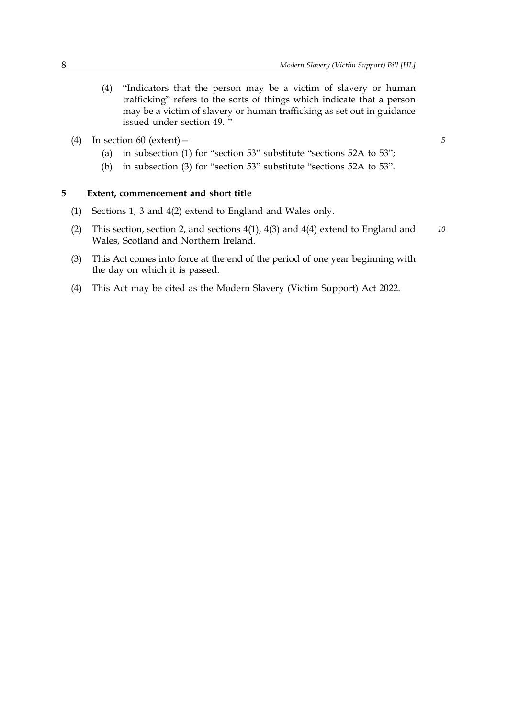- (4) "Indicators that the person may be a victim of slavery or human trafficking" refers to the sorts of things which indicate that a person may be a victim of slavery or human trafficking as set out in guidance issued under section 49. "
- (4) In section 60 (extent)— *5*
	- (a) in subsection (1) for "section 53" substitute "sections 52A to 53";
	- (b) in subsection (3) for "section 53" substitute "sections 52A to 53".

## **5 Extent, commencement and short title**

- (1) Sections 1, 3 and 4(2) extend to England and Wales only.
- (2) This section, section 2, and sections 4(1), 4(3) and 4(4) extend to England and *10* Wales, Scotland and Northern Ireland.
- (3) This Act comes into force at the end of the period of one year beginning with the day on which it is passed.
- (4) This Act may be cited as the Modern Slavery (Victim Support) Act 2022.